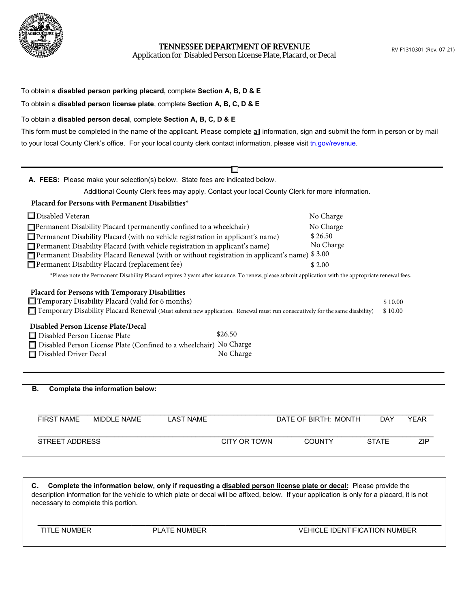

**TENNESSEE DEPARTMENT OF REVENUE**

Application for Disabled Person License Plate, Placard, or Decal

| To obtain a disabled person parking placard, complete Section A, B, D & E<br>To obtain a disabled person license plate, complete Section A, B, C, D & E                                                                                                                                                                                                                                                                                                                                                                                                                                                                            |                                                                    |  |
|------------------------------------------------------------------------------------------------------------------------------------------------------------------------------------------------------------------------------------------------------------------------------------------------------------------------------------------------------------------------------------------------------------------------------------------------------------------------------------------------------------------------------------------------------------------------------------------------------------------------------------|--------------------------------------------------------------------|--|
| To obtain a disabled person decal, complete Section A, B, C, D & E<br>This form must be completed in the name of the applicant. Please complete all information, sign and submit the form in person or by mail<br>to your local County Clerk's office. For your local county clerk contact information, please visit tn.gov/revenue.                                                                                                                                                                                                                                                                                               |                                                                    |  |
|                                                                                                                                                                                                                                                                                                                                                                                                                                                                                                                                                                                                                                    |                                                                    |  |
| A. FEES: Please make your selection(s) below. State fees are indicated below.                                                                                                                                                                                                                                                                                                                                                                                                                                                                                                                                                      |                                                                    |  |
| Additional County Clerk fees may apply. Contact your local County Clerk for more information.                                                                                                                                                                                                                                                                                                                                                                                                                                                                                                                                      |                                                                    |  |
| Placard for Persons with Permanent Disabilities*                                                                                                                                                                                                                                                                                                                                                                                                                                                                                                                                                                                   |                                                                    |  |
| $\Box$ Disabled Veteran<br>$\Box$ Permanent Disability Placard (permanently confined to a wheelchair)<br>Permanent Disability Placard (with no vehicle registration in applicant's name)<br>Permanent Disability Placard (with vehicle registration in applicant's name)<br>□ Permanent Disability Placard Renewal (with or without registration in applicant's name)<br>Permanent Disability Placard (replacement fee)<br>*Please note the Permanent Disability Placard expires 2 years after issuance. To renew, please submit application with the appropriate renewal fees.<br>Placard for Persons with Temporary Disabilities | No Charge<br>No Charge<br>\$26.50<br>No Charge<br>\$3.00<br>\$2.00 |  |
| $\Box$ Temporary Disability Placard (valid for 6 months)<br>Temporary Disability Placard Renewal (Must submit new application. Renewal must run consecutively for the same disability)<br><b>Disabled Person License Plate/Decal</b><br>\$26.50<br>□ Disabled Person License Plate                                                                                                                                                                                                                                                                                                                                                 | \$10.00<br>\$10.00                                                 |  |
| □ Disabled Person License Plate (Confined to a wheelchair) No Charge<br>No Charge<br>Disabled Driver Decal                                                                                                                                                                                                                                                                                                                                                                                                                                                                                                                         |                                                                    |  |

| В.                | Complete the information below: |                  |              |                      |              |             |
|-------------------|---------------------------------|------------------|--------------|----------------------|--------------|-------------|
| <b>FIRST NAME</b> | MIDDI F NAMF                    | <b>LAST NAME</b> |              | DATE OF BIRTH: MONTH | DAY          | <b>YEAR</b> |
| STREET ADDRESS    |                                 |                  | CITY OR TOWN | <b>COUNTY</b>        | <b>STATE</b> | <b>ZIP</b>  |

**C. Complete the information below, only if requesting a disabled person license plate or decal:** Please provide the description information for the vehicle to which plate or decal will be affixed, below. If your application is only for a placard, it is not necessary to complete this portion.

\_\_\_\_\_\_\_\_\_\_\_\_\_\_\_\_\_\_\_\_\_\_\_\_\_\_\_\_\_\_\_\_\_\_\_\_\_\_\_\_\_\_\_\_\_\_\_\_\_\_\_\_\_\_\_\_\_\_\_\_\_\_\_\_\_\_\_\_\_\_\_\_\_\_\_\_\_\_\_\_\_\_\_\_\_\_ TITLE NUMBER PLATE NUMBER VEHICLE IDENTIFICATION NUMBER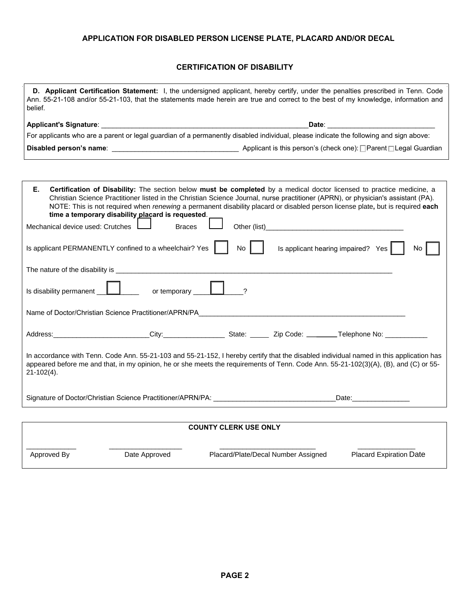## **APPLICATION FOR DISABLED PERSON LICENSE PLATE, PLACARD AND/OR DECAL**

## **CERTIFICATION OF DISABILITY**

|                               | <b>D.</b> Applicant Certification Statement: I, the undersigned applicant, hereby certify, under the penalties prescribed in Tenn. Code |
|-------------------------------|-----------------------------------------------------------------------------------------------------------------------------------------|
| belief.                       | Ann. 55-21-108 and/or 55-21-103, that the statements made herein are true and correct to the best of my knowledge, information and      |
| <b>Applicant's Signature:</b> | Date:                                                                                                                                   |

| For applicants who are a parent or legal guardian of a permanently disabled individual, please indicate the following and sign above: |  |
|---------------------------------------------------------------------------------------------------------------------------------------|--|
|                                                                                                                                       |  |

**Disabled person's name**: \_\_\_\_\_\_\_\_\_\_\_\_\_\_\_\_\_\_\_\_\_\_\_\_\_\_\_\_\_\_\_\_\_ Applicant is this person's (check one): **□** Parent **□** Legal Guardian

| Е.<br><b>Certification of Disability:</b> The section below must be completed by a medical doctor licensed to practice medicine, a<br>Christian Science Practitioner listed in the Christian Science Journal, nurse practitioner (APRN), or physician's assistant (PA).<br>NOTE: This is not required when renewing a permanent disability placard or disabled person license plate, but is required each<br>time a temporary disability placard is requested.<br><b>Braces</b><br>Mechanical device used: Crutches |                                                                                                                                                                                                                                |  |  |
|---------------------------------------------------------------------------------------------------------------------------------------------------------------------------------------------------------------------------------------------------------------------------------------------------------------------------------------------------------------------------------------------------------------------------------------------------------------------------------------------------------------------|--------------------------------------------------------------------------------------------------------------------------------------------------------------------------------------------------------------------------------|--|--|
| Is applicant PERMANENTLY confined to a wheelchair? Yes  <br>No.                                                                                                                                                                                                                                                                                                                                                                                                                                                     | Is applicant hearing impaired? Yes $\vert$<br>No.                                                                                                                                                                              |  |  |
|                                                                                                                                                                                                                                                                                                                                                                                                                                                                                                                     |                                                                                                                                                                                                                                |  |  |
| Is disability permanent $\Box$ or temporary $\Box$ ?                                                                                                                                                                                                                                                                                                                                                                                                                                                                |                                                                                                                                                                                                                                |  |  |
|                                                                                                                                                                                                                                                                                                                                                                                                                                                                                                                     |                                                                                                                                                                                                                                |  |  |
| Address: _________________________City:_____________________State: _________Zip Code: _________Telephone No: ______________                                                                                                                                                                                                                                                                                                                                                                                         |                                                                                                                                                                                                                                |  |  |
| In accordance with Tenn. Code Ann. 55-21-103 and 55-21-152, I hereby certify that the disabled individual named in this application has<br>appeared before me and that, in my opinion, he or she meets the requirements of Tenn. Code Ann. 55-21-102(3)(A), (B), and (C) or 55-<br>$21-102(4)$ .                                                                                                                                                                                                                    |                                                                                                                                                                                                                                |  |  |
| Signature of Doctor/Christian Science Practitioner/APRN/PA: _____________________                                                                                                                                                                                                                                                                                                                                                                                                                                   | Date: the contract of the contract of the contract of the contract of the contract of the contract of the contract of the contract of the contract of the contract of the contract of the contract of the contract of the cont |  |  |
|                                                                                                                                                                                                                                                                                                                                                                                                                                                                                                                     |                                                                                                                                                                                                                                |  |  |

## **COUNTY CLERK USE ONLY**

\_\_\_\_\_\_\_\_\_\_\_\_\_ \_\_\_\_\_\_\_\_\_\_\_\_\_\_\_\_\_\_\_ \_\_\_\_\_\_\_\_\_\_\_\_\_\_\_\_\_\_\_\_\_\_\_\_\_ \_\_\_\_\_\_\_\_\_\_\_\_\_\_\_

Approved By **Date Approved** Placard/Plate/Decal Number Assigned Placard Expiration Date